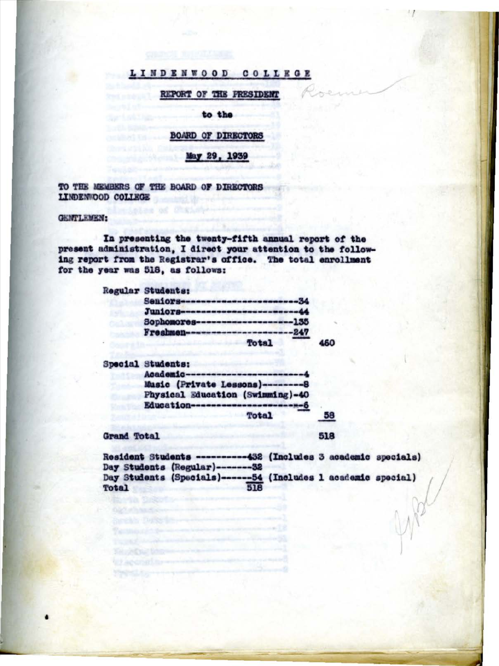# LINDENWOOD COLLEGE

## REPORT OF THE FRESIDENT

to the

## **BOARD OF DIRECTORS**

## May 29, 1939

TO THE MEMBERS OF THE BOARD OF DIRECTORS LINDENWOOD COLLEGE

inles of Children

## GENTLEMEN:

In presenting the twenty-fifth annual report of the present administration, I direct your attention to the following report from the Registrar's office. The total enrollment for the year was 518, as follows:

**Regular Students:** 

|  | Seniors-------------------------34 |  |
|--|------------------------------------|--|
|  | Juniors-------------------------44 |  |
|  | Sophomores--------------------135  |  |
|  | Freshmen-----------------------247 |  |
|  | <b>Total</b>                       |  |

Special Students:

| Academic---------------------------4 |  |
|--------------------------------------|--|
| Music (Private Lessons)--------8     |  |
| Physical Education (Swimming)-40     |  |
| Education------------------------6   |  |
| <b>Total</b>                         |  |

The Africa Lagrange and College and Charles

U apong hasanagan nanan

### Grand Total

Resident Students ----------432 (Includes 3 academic specials) Day Students (Regular)-------32 Day Students (Specials)------54 (Includes 1 academic special)<br>Total

518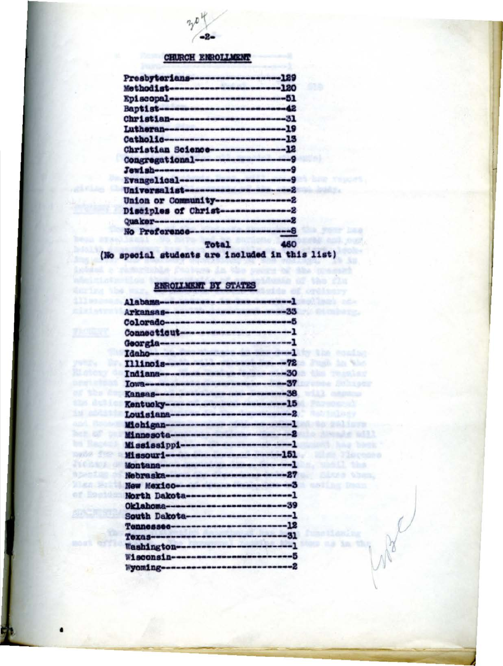# **CHURCH ENROLLMENT**

(No special students are included in this list)

# ENROLLMENT BY STATES

Northea the m

her of the

nuda fez-a TICANE ON

tpetas al Xien 医结晶

of Bootday

| Alabama------------------------------     |  |
|-------------------------------------------|--|
| Arkansas---------------------------33     |  |
| Colorado----------------------------5     |  |
| Connecticut-------------------------1     |  |
|                                           |  |
| Idaho-------------------------------      |  |
| Tllinois--------------------------72      |  |
| Indiana----------------------------30     |  |
| Iowa------------------------------57      |  |
| Kansas-----------------------------38     |  |
| Kentucky--------------------------15      |  |
| Louisiana-------------------------------- |  |
| Michigan----------------------------      |  |
|                                           |  |
| Mississippi------------------------1      |  |
| Missouri-------------------------151      |  |
| Montana----------------------------       |  |
|                                           |  |
| New Mexico------------------------3       |  |
| North Dakota----------------------1       |  |
| Oklahoma---------------------------39     |  |
| South Dakota-----------------------1      |  |
| Tennessee-------------------------12      |  |
| Texas-----------------------------31      |  |
| Washington------------------------        |  |
| Wisconsin-------------------------5       |  |
| Woming-----------------------------2      |  |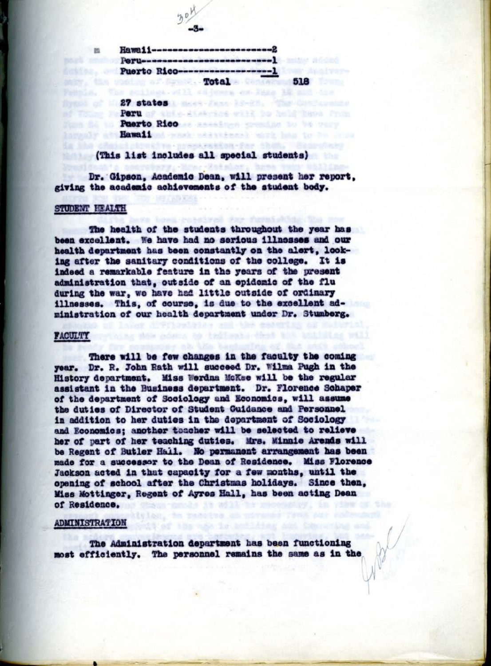**Hawaii----------**Portlandsconcessions Puerto Rico------------sheller all Armod. - Total a Canaara **518** Waterlow The scribnes of 11 environmental and like a 12 and the

Somed At 11 27 states 1 week from 19-20 and the first present Thomas to Peru of the Atabytet will be held have from The file in Puerto Rico as sending counter to be pure unio at Rawaii and mask additional work has to be

## (This list includes all special students)

Dr. Gipson, Academic Dean, will present her report. giving the academic achievements of the student body.

The Creative President - Paint - Shutter

#### STUDENT HEALTH

m

The health of the students throughout the year has been excellent. We have had no serious illnesses and our health department has been constantly on the alert. looking after the sanitary conditions of the college. It is indeed a remarkable feature in the years of the present administration that, outside of an epidemic of the flu during the war, we have had little outside of ordinary illnesses. This, of course, is due to the excellent administration of our health department under Dr. Stumberg.

### **FACULTY**

There will be few changes in the faculty the coming year. Dr. R. John Rath will succeed Dr. Wilma Pugh in the History department. Miss Werdna McKee will be the regular assistant in the Business department. Dr. Florence Schaper of the department of Sociology and Economics, will assume the duties of Director of Student Cuidance and Personnel in addition to her duties in the department of Sociology and Economics: another teacher will be selected to relieve her of part of her teaching duties. Mrs. Minnie Arends will be Regent of Butler Hail. No permanent arrangement has been made for a successor to the Dean of Residence. Miss Florence Jackson acted in that capacity for a few months, until the opening of school after the Christmas holidays. Since then, Miss Mottinger, Regent of Ayres Hall, has been acting Dean of Residence.

## **ADMINISTRATION**

The Administration department has been functioning most efficiently. The personnel remains the same as in the